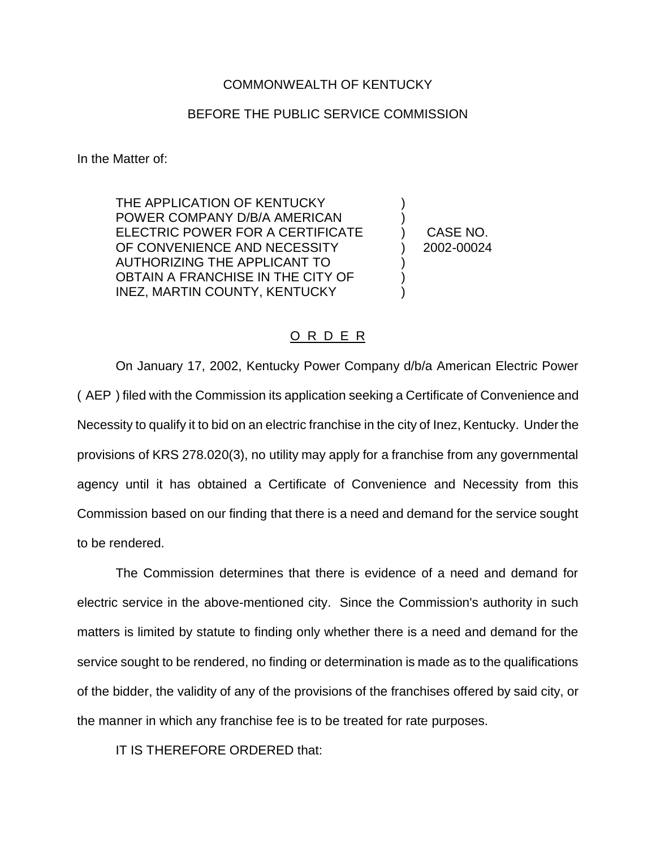## COMMONWEALTH OF KENTUCKY

## BEFORE THE PUBLIC SERVICE COMMISSION

In the Matter of:

THE APPLICATION OF KENTUCKY POWER COMPANY D/B/A AMERICAN ) ELECTRIC POWER FOR A CERTIFICATE ) CASE NO. OF CONVENIENCE AND NECESSITY (2002-00024 AUTHORIZING THE APPLICANT TO ) OBTAIN A FRANCHISE IN THE CITY OF INEZ, MARTIN COUNTY, KENTUCKY

## O R D E R

On January 17, 2002, Kentucky Power Company d/b/a American Electric Power ( AEP ) filed with the Commission its application seeking a Certificate of Convenience and Necessity to qualify it to bid on an electric franchise in the city of Inez, Kentucky. Under the provisions of KRS 278.020(3), no utility may apply for a franchise from any governmental agency until it has obtained a Certificate of Convenience and Necessity from this Commission based on our finding that there is a need and demand for the service sought to be rendered.

The Commission determines that there is evidence of a need and demand for electric service in the above-mentioned city. Since the Commission's authority in such matters is limited by statute to finding only whether there is a need and demand for the service sought to be rendered, no finding or determination is made as to the qualifications of the bidder, the validity of any of the provisions of the franchises offered by said city, or the manner in which any franchise fee is to be treated for rate purposes.

IT IS THEREFORE ORDERED that: